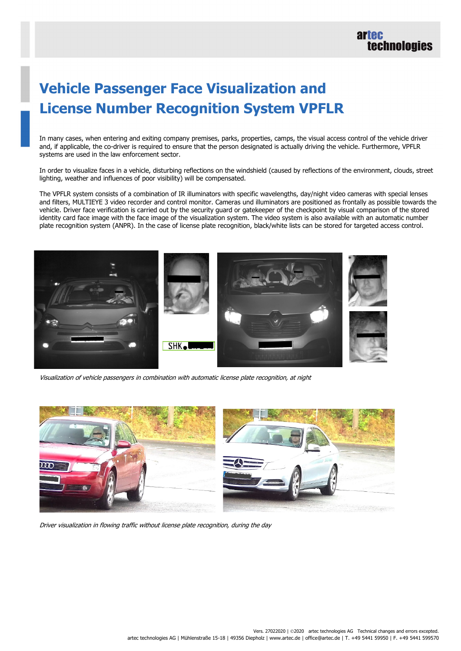## **Vehicle Passenger Face Visualization and License Number Recognition System VPFLR**

In many cases, when entering and exiting company premises, parks, properties, camps, the visual access control of the vehicle driver and, if applicable, the co-driver is required to ensure that the person designated is actually driving the vehicle. Furthermore, VPFLR systems are used in the law enforcement sector.

In order to visualize faces in a vehicle, disturbing reflections on the windshield (caused by reflections of the environment, clouds, street lighting, weather and influences of poor visibility) will be compensated.

The VPFLR system consists of a combination of IR illuminators with specific wavelengths, day/night video cameras with special lenses and filters, MULTIEYE 3 video recorder and control monitor. Cameras und illuminators are positioned as frontally as possible towards the vehicle. Driver face verification is carried out by the security guard or gatekeeper of the checkpoint by visual comparison of the stored identity card face image with the face image of the visualization system. The video system is also available with an automatic number plate recognition system (ANPR). In the case of license plate recognition, black/white lists can be stored for targeted access control.



Visualization of vehicle passengers in combination with automatic license plate recognition, at night



Driver visualization in flowing traffic without license plate recognition, during the day